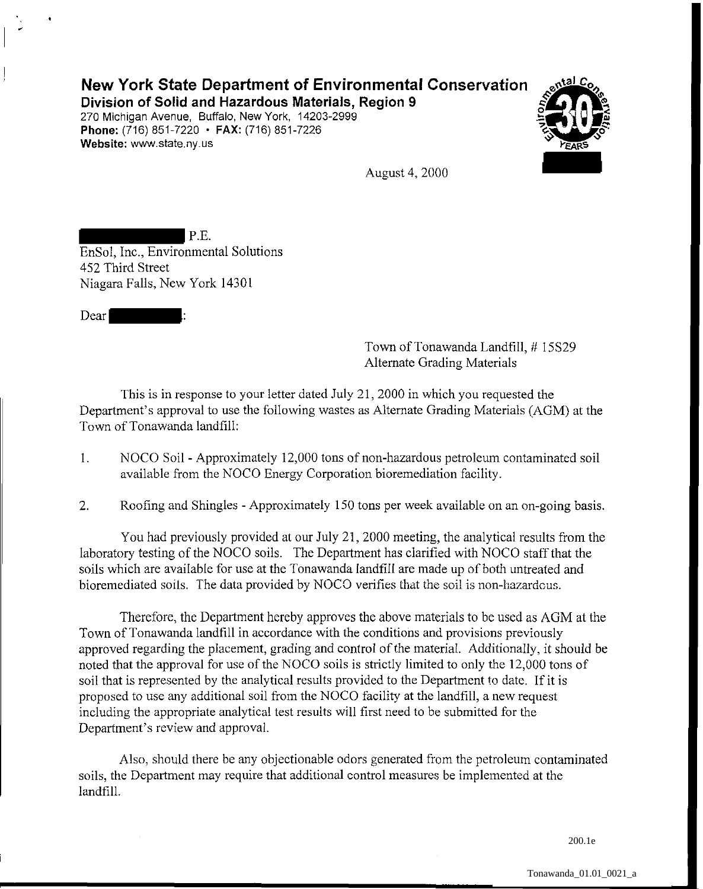## **New York State Department of Environmental Conservation**

**Division of Solid and Hazardous Materials, Region 9** 

270 Michigan Avenue, Buffalo, New York, 14203-2999 **Phone:** (716) 851-7220 • **FAX:** (716) 851-7226 **Website:** www.state.ny.us



August 4, 2000

 $P.E.$ EnSol, Inc., Environmental Solutions 452 Third Street Niagara Falls, New York 14301

Dear

I -

Town of Tonawanda Landfill,# 15S29 Alternate Grading Materials

This is in response to your letter dated July 21, 2000 in which you requested the Department's approval to use the following wastes as Alternate Grading Materials (AGM) at the Town of Tonawanda landfill:

- 1. NOCO Soil Approximately 12,000 tons of non-hazardous petroleum contaminated soil available from the NOCO Energy Corporation bioremediation facility.
- 2. Roofing and Shingles Approximately 150 tons per week available on an on-going basis.

You had previously provided at our July 21, 2000 meeting, the analytical results from the laboratory testing of the NOCO soils. The Department has clarified with NOCO staff that the soils which are available for use at the Tonawanda landfill are made up of both untreated and bioremediated soils. The data provided by NOCO verifies that the soil is non-hazardous.

Therefore, the Department hereby approves the above materials to be used as AGM at the Town of Tonawanda landfill in accordance with the conditions and provisions previously approved regarding the placement, grading and control of the material. Additionally, it should be noted that the approval for use of the NOCO soils is strictly limited to only the 12,000 tons of soil that is represented by the analytical results provided to the Department to date. If it is proposed to use any additional soil from the NOCO facility at the landfill, a new request including the appropriate analytical test results will first need to be submitted for the Department's review and approval.

Also, should there be any objectionable odors generated from the petroleum contaminated soils, the Department may require that additional control measures be implemented at the landfill.

200.1e